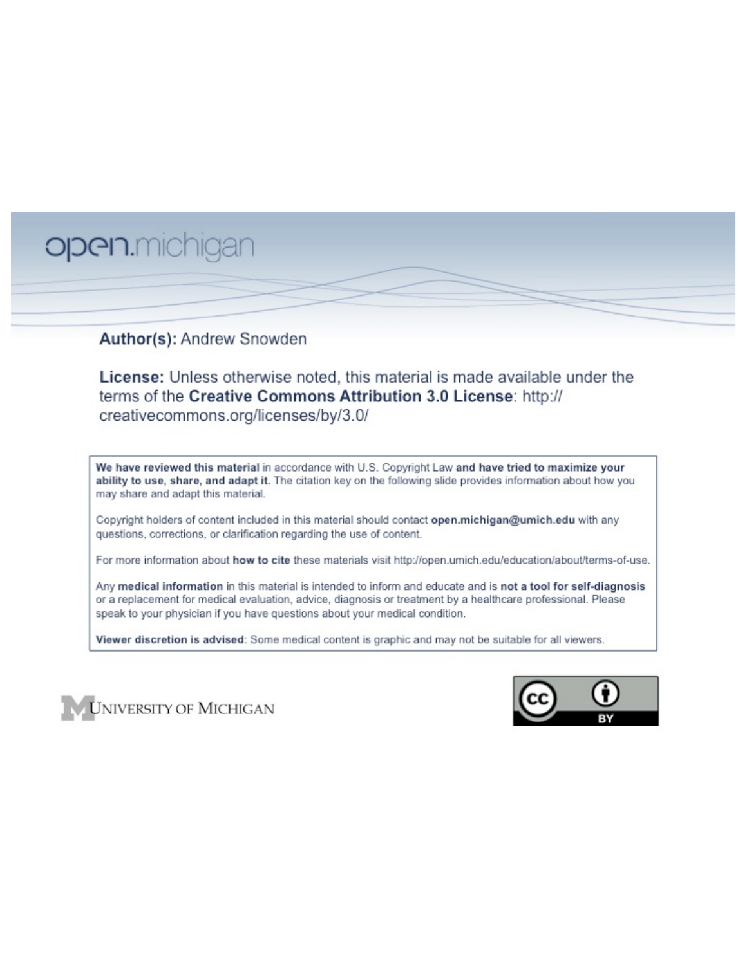# open.michigan

### Author(s): Andrew Snowden

License: Unless otherwise noted, this material is made available under the terms of the Creative Commons Attribution 3.0 License: http:// creativecommons.org/licenses/by/3.0/

We have reviewed this material in accordance with U.S. Copyright Law and have tried to maximize your ability to use, share, and adapt it. The citation key on the following slide provides information about how you may share and adapt this material.

Copyright holders of content included in this material should contact open.michigan@umich.edu with any questions, corrections, or clarification regarding the use of content.

For more information about how to cite these materials visit http://open.umich.edu/education/about/terms-of-use.

Any medical information in this material is intended to inform and educate and is not a tool for self-diagnosis or a replacement for medical evaluation, advice, diagnosis or treatment by a healthcare professional. Please speak to your physician if you have questions about your medical condition.

Viewer discretion is advised: Some medical content is graphic and may not be suitable for all viewers.



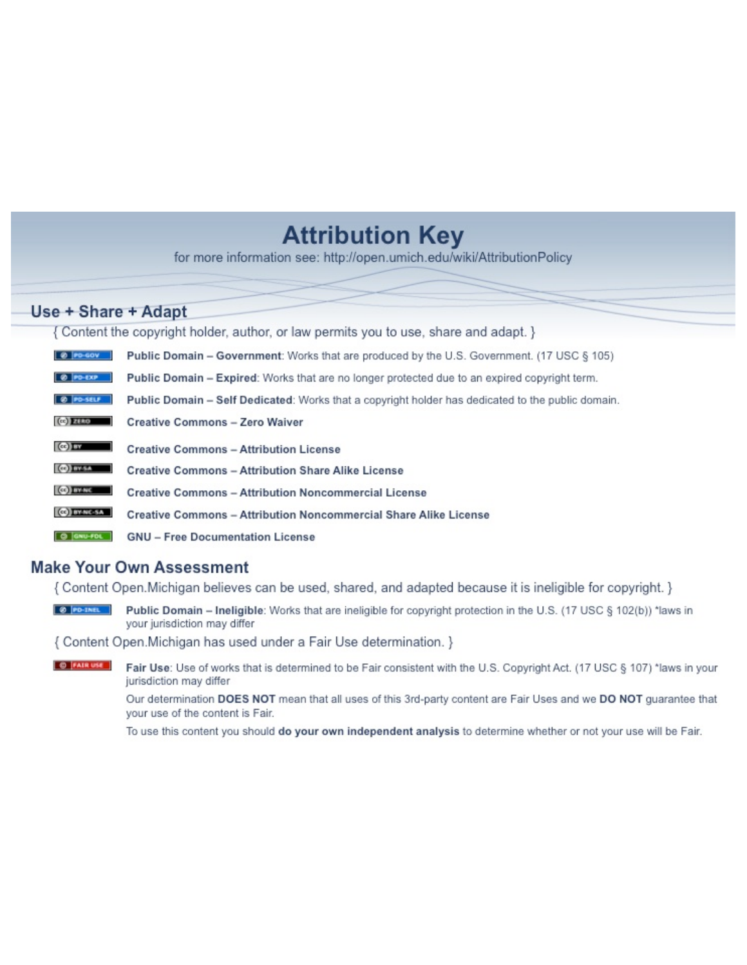# **Attribution Key**

for more information see: http://open.umich.edu/wiki/AttributionPolicy

## Use + Share + Adapt

{ Content the copyright holder, author, or law permits you to use, share and adapt. }

| @ PD-GOV                  | <b>Public Domain - Government:</b> Works that are produced by the U.S. Government. (17 USC § 105) |
|---------------------------|---------------------------------------------------------------------------------------------------|
| @ PD-EXP                  | Public Domain - Expired: Works that are no longer protected due to an expired copyright term.     |
| @ PO-SELF                 | Public Domain - Self Dedicated: Works that a copyright holder has dedicated to the public domain. |
| $(c2)$ 21110              | <b>Creative Commons - Zero Waiver</b>                                                             |
| $\left($ ce) $\right)$ my | <b>Creative Commons - Attribution License</b>                                                     |
| <b>CO</b> ITY-SA          | <b>Creative Commons - Attribution Share Alike License</b>                                         |
| <b>CO</b> BY-NC           | <b>Creative Commons - Attribution Noncommercial License</b>                                       |
| <b>CO</b> BY-NC-SA        | Creative Commons - Attribution Noncommercial Share Alike License                                  |
| GNU-FOL                   | <b>GNU - Free Documentation License</b>                                                           |

#### **Make Your Own Assessment**

{ Content Open. Michigan believes can be used, shared, and adapted because it is ineligible for copyright. }

Public Domain - Ineligible: Works that are ineligible for copyright protection in the U.S. (17 USC § 102(b)) \*laws in your jurisdiction may differ

{ Content Open. Michigan has used under a Fair Use determination. }

**O** FAIR USE Fair Use: Use of works that is determined to be Fair consistent with the U.S. Copyright Act. (17 USC § 107) \*laws in your jurisdiction may differ

> Our determination DOES NOT mean that all uses of this 3rd-party content are Fair Uses and we DO NOT guarantee that your use of the content is Fair.

To use this content you should do your own independent analysis to determine whether or not your use will be Fair.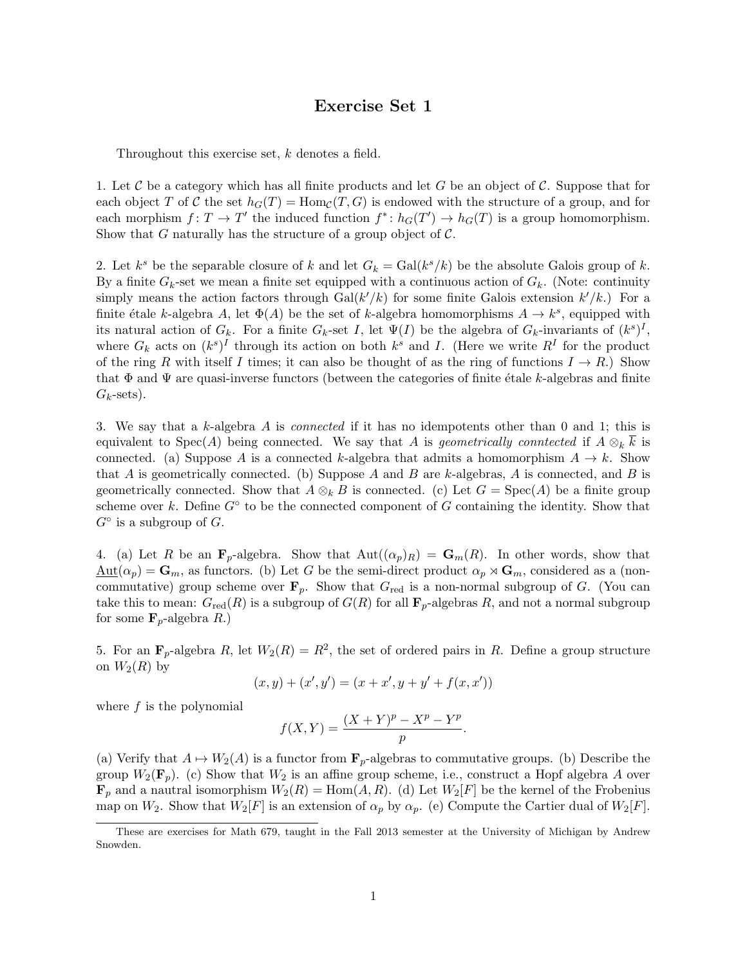#### Exercise Set 1

Throughout this exercise set, *k* denotes a field.

1. Let *C* be a category which has all finite products and let *G* be an object of *C*. Suppose that for each object *T* of *C* the set  $h_G(T) = \text{Hom}_{\mathcal{C}}(T, G)$  is endowed with the structure of a group, and for each morphism  $f: T \to T'$  the induced function  $f^* : h_G(T') \to h_G(T)$  is a group homomorphism. Show that *G* naturally has the structure of a group object of *C*.

2. Let  $k^s$  be the separable closure of  $k$  and let  $G_k = \text{Gal}(k^s / k)$  be the absolute Galois group of  $k$ . By a finite  $G_k$ -set we mean a finite set equipped with a continuous action of  $G_k$ . (Note: continuity simply means the action factors through  $Gal(k'/k)$  for some finite Galois extension  $k'/k$ .) For a finite étale *k*-algebra *A*, let  $\Phi(A)$  be the set of *k*-algebra homomorphisms  $A \rightarrow k^s$ , equipped with its natural action of  $G_k$ . For a finite  $G_k$ -set *I*, let  $\Psi(I)$  be the algebra of  $G_k$ -invariants of  $(k^s)^I$ , where  $G_k$  acts on  $(k^s)^I$  through its action on both  $k^s$  and *I*. (Here we write  $R^I$  for the product of the ring *R* with itself *I* times; it can also be thought of as the ring of functions  $I \rightarrow R$ .) Show that  $\Phi$  and  $\Psi$  are quasi-inverse functors (between the categories of finite étale *k*-algebras and finite  $G_k$ -sets).

3. We say that a *k*-algebra *A* is *connected* if it has no idempotents other than 0 and 1; this is equivalent to Spec(*A*) being connected. We say that *A* is *geometrically conntected* if  $A \otimes_k \overline{k}$  is connected. (a) Suppose A is a connected k-algebra that admits a homomorphism  $A \to k$ . Show that *A* is geometrically connected. (b) Suppose *A* and *B* are *k*-algebras, *A* is connected, and *B* is geometrically connected. Show that  $A \otimes_k B$  is connected. (c) Let  $G = \text{Spec}(A)$  be a finite group scheme over  $k$ . Define  $G^{\circ}$  to be the connected component of  $G$  containing the identity. Show that  $G^{\circ}$  is a subgroup of  $G$ .

4. (a) Let *R* be an  $\mathbf{F}_p$ -algebra. Show that  $\text{Aut}((\alpha_p)_R) = \mathbf{G}_m(R)$ . In other words, show that  $\underline{\text{Aut}}(\alpha_p) = \mathbf{G}_m$ , as functors. (b) Let G be the semi-direct product  $\alpha_p \rtimes \mathbf{G}_m$ , considered as a (noncommutative) group scheme over  $\mathbf{F}_p$ . Show that  $G_{\text{red}}$  is a non-normal subgroup of *G*. (You can take this to mean:  $G_{\text{red}}(R)$  is a subgroup of  $G(R)$  for all  $\mathbf{F}_p$ -algebras R, and not a normal subgroup for some  $\mathbf{F}_p$ -algebra *R*.)

5. For an  $\mathbf{F}_p$ -algebra *R*, let  $W_2(R) = R^2$ , the set of ordered pairs in *R*. Define a group structure on  $W_2(R)$  by

$$
(x, y) + (x', y') = (x + x', y + y' + f(x, x'))
$$

where *f* is the polynomial

$$
f(X,Y) = \frac{(X+Y)^p - X^p - Y^p}{p}.
$$

(a) Verify that  $A \mapsto W_2(A)$  is a functor from  $\mathbf{F}_p$ -algebras to commutative groups. (b) Describe the group  $W_2(\mathbf{F}_p)$ . (c) Show that  $W_2$  is an affine group scheme, i.e., construct a Hopf algebra A over  $\mathbf{F}_p$  and a nautral isomorphism  $W_2(R) = \text{Hom}(A, R)$ . (d) Let  $W_2[F]$  be the kernel of the Frobenius map on  $W_2$ . Show that  $W_2[F]$  is an extension of  $\alpha_p$  by  $\alpha_p$ . (e) Compute the Cartier dual of  $W_2[F]$ .

These are exercises for Math 679, taught in the Fall 2013 semester at the University of Michigan by Andrew Snowden.